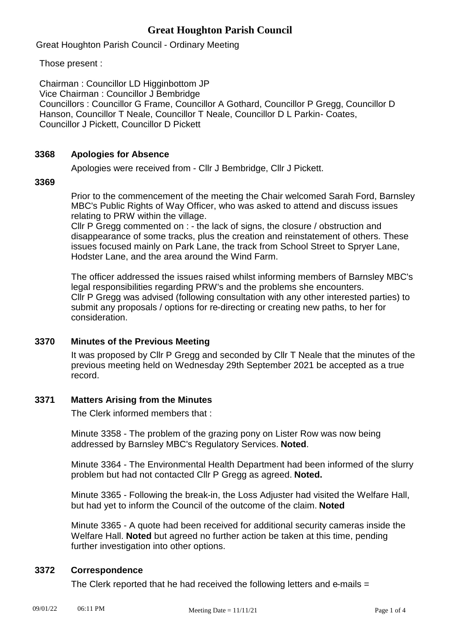# **Great Houghton Parish Council**

Great Houghton Parish Council - Ordinary Meeting

Those present :

Chairman : Councillor LD Higginbottom JP Vice Chairman : Councillor J Bembridge Councillors : Councillor G Frame, Councillor A Gothard, Councillor P Gregg, Councillor D Hanson, Councillor T Neale, Councillor T Neale, Councillor D L Parkin- Coates, Councillor J Pickett, Councillor D Pickett

# **3368 Apologies for Absence**

Apologies were received from - Cllr J Bembridge, Cllr J Pickett.

**3369**

Prior to the commencement of the meeting the Chair welcomed Sarah Ford, Barnsley MBC's Public Rights of Way Officer, who was asked to attend and discuss issues relating to PRW within the village.

Cllr P Gregg commented on : - the lack of signs, the closure / obstruction and disappearance of some tracks, plus the creation and reinstatement of others. These issues focused mainly on Park Lane, the track from School Street to Spryer Lane, Hodster Lane, and the area around the Wind Farm.

The officer addressed the issues raised whilst informing members of Barnsley MBC's legal responsibilities regarding PRW's and the problems she encounters. Cllr P Gregg was advised (following consultation with any other interested parties) to submit any proposals / options for re-directing or creating new paths, to her for consideration.

# **3370 Minutes of the Previous Meeting**

It was proposed by Cllr P Gregg and seconded by Cllr T Neale that the minutes of the previous meeting held on Wednesday 29th September 2021 be accepted as a true record.

# **3371 Matters Arising from the Minutes**

The Clerk informed members that :

Minute 3358 - The problem of the grazing pony on Lister Row was now being addressed by Barnsley MBC's Regulatory Services. **Noted**.

Minute 3364 - The Environmental Health Department had been informed of the slurry problem but had not contacted Cllr P Gregg as agreed. **Noted.**

Minute 3365 - Following the break-in, the Loss Adjuster had visited the Welfare Hall, but had yet to inform the Council of the outcome of the claim. **Noted**

Minute 3365 - A quote had been received for additional security cameras inside the Welfare Hall. **Noted** but agreed no further action be taken at this time, pending further investigation into other options.

# **3372 Correspondence**

The Clerk reported that he had received the following letters and e-mails =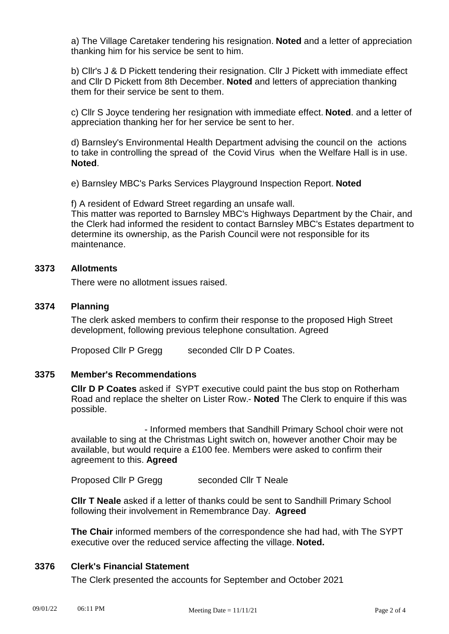a) The Village Caretaker tendering his resignation. **Noted** and a letter of appreciation thanking him for his service be sent to him.

b) Cllr's J & D Pickett tendering their resignation. Cllr J Pickett with immediate effect and Cllr D Pickett from 8th December. **Noted** and letters of appreciation thanking them for their service be sent to them.

c) Cllr S Joyce tendering her resignation with immediate effect. **Noted**. and a letter of appreciation thanking her for her service be sent to her.

d) Barnsley's Environmental Health Department advising the council on the actions to take in controlling the spread of the Covid Virus when the Welfare Hall is in use. **Noted**.

e) Barnsley MBC's Parks Services Playground Inspection Report. **Noted**

f) A resident of Edward Street regarding an unsafe wall.

This matter was reported to Barnsley MBC's Highways Department by the Chair, and the Clerk had informed the resident to contact Barnsley MBC's Estates department to determine its ownership, as the Parish Council were not responsible for its maintenance.

#### **3373 Allotments**

There were no allotment issues raised.

# **3374 Planning**

The clerk asked members to confirm their response to the proposed High Street development, following previous telephone consultation. Agreed

Proposed Cllr P Gregg seconded Cllr D P Coates.

#### **3375 Member's Recommendations**

**Cllr D P Coates** asked if SYPT executive could paint the bus stop on Rotherham Road and replace the shelter on Lister Row.- **Noted** The Clerk to enquire if this was possible.

 - Informed members that Sandhill Primary School choir were not available to sing at the Christmas Light switch on, however another Choir may be available, but would require a £100 fee. Members were asked to confirm their agreement to this. **Agreed**

Proposed Cllr P Gregg seconded Cllr T Neale

**Cllr T Neale** asked if a letter of thanks could be sent to Sandhill Primary School following their involvement in Remembrance Day. **Agreed** 

**The Chair** informed members of the correspondence she had had, with The SYPT executive over the reduced service affecting the village. **Noted.**

# **3376 Clerk's Financial Statement**

The Clerk presented the accounts for September and October 2021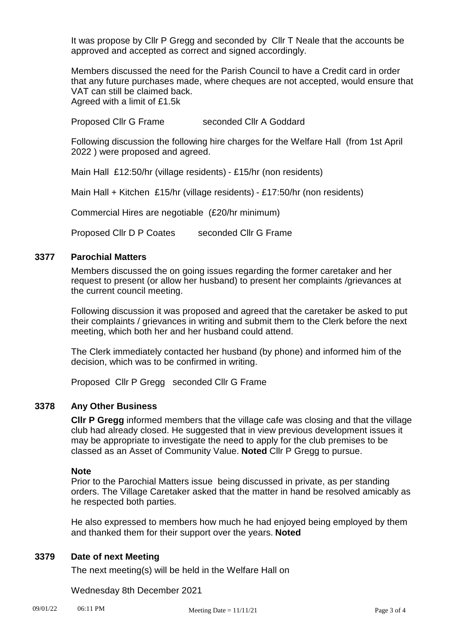It was propose by Cllr P Gregg and seconded by Cllr T Neale that the accounts be approved and accepted as correct and signed accordingly.

Members discussed the need for the Parish Council to have a Credit card in order that any future purchases made, where cheques are not accepted, would ensure that VAT can still be claimed back. Agreed with a limit of £1.5k

Proposed Cllr G Frame seconded Cllr A Goddard

Following discussion the following hire charges for the Welfare Hall (from 1st April 2022 ) were proposed and agreed.

Main Hall £12:50/hr (village residents) - £15/hr (non residents)

Main Hall + Kitchen £15/hr (village residents) - £17:50/hr (non residents)

Commercial Hires are negotiable (£20/hr minimum)

Proposed Cllr D P Coates seconded Cllr G Frame

# **3377 Parochial Matters**

Members discussed the on going issues regarding the former caretaker and her request to present (or allow her husband) to present her complaints /grievances at the current council meeting.

Following discussion it was proposed and agreed that the caretaker be asked to put their complaints / grievances in writing and submit them to the Clerk before the next meeting, which both her and her husband could attend.

The Clerk immediately contacted her husband (by phone) and informed him of the decision, which was to be confirmed in writing.

Proposed Cllr P Gregg seconded Cllr G Frame

## **3378 Any Other Business**

**Cllr P Gregg** informed members that the village cafe was closing and that the village club had already closed. He suggested that in view previous development issues it may be appropriate to investigate the need to apply for the club premises to be classed as an Asset of Community Value. **Noted** Cllr P Gregg to pursue.

## **Note**

Prior to the Parochial Matters issue being discussed in private, as per standing orders. The Village Caretaker asked that the matter in hand be resolved amicably as he respected both parties.

He also expressed to members how much he had enjoyed being employed by them and thanked them for their support over the years. **Noted**

# **3379 Date of next Meeting**

The next meeting(s) will be held in the Welfare Hall on

Wednesday 8th December 2021